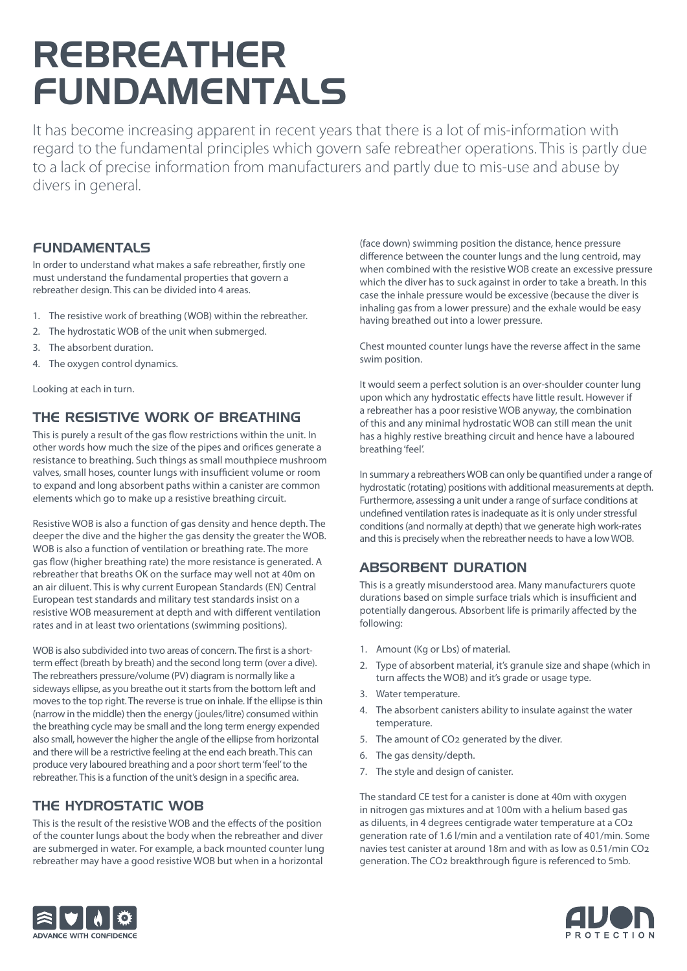# REBREATHER FUNDAMENTALS

It has become increasing apparent in recent years that there is a lot of mis-information with regard to the fundamental principles which govern safe rebreather operations. This is partly due to a lack of precise information from manufacturers and partly due to mis-use and abuse by divers in general.

### FUNDAMENTALS

In order to understand what makes a safe rebreather, firstly one must understand the fundamental properties that govern a rebreather design. This can be divided into 4 areas.

- 1. The resistive work of breathing (WOB) within the rebreather.
- 2. The hydrostatic WOB of the unit when submerged.
- 3. The absorbent duration.
- 4. The oxygen control dynamics.

Looking at each in turn.

## THE RESISTIVE WORK OF BREATHING

This is purely a result of the gas flow restrictions within the unit. In other words how much the size of the pipes and orifices generate a resistance to breathing. Such things as small mouthpiece mushroom valves, small hoses, counter lungs with insufficient volume or room to expand and long absorbent paths within a canister are common elements which go to make up a resistive breathing circuit.

Resistive WOB is also a function of gas density and hence depth. The deeper the dive and the higher the gas density the greater the WOB. WOB is also a function of ventilation or breathing rate. The more gas flow (higher breathing rate) the more resistance is generated. A rebreather that breaths OK on the surface may well not at 40m on an air diluent. This is why current European Standards (EN) Central European test standards and military test standards insist on a resistive WOB measurement at depth and with different ventilation rates and in at least two orientations (swimming positions).

WOB is also subdivided into two areas of concern. The first is a shortterm effect (breath by breath) and the second long term (over a dive). The rebreathers pressure/volume (PV) diagram is normally like a sideways ellipse, as you breathe out it starts from the bottom left and moves to the top right. The reverse is true on inhale. If the ellipse is thin (narrow in the middle) then the energy (joules/litre) consumed within the breathing cycle may be small and the long term energy expended also small, however the higher the angle of the ellipse from horizontal and there will be a restrictive feeling at the end each breath. This can produce very laboured breathing and a poor short term 'feel' to the rebreather. This is a function of the unit's design in a specific area.

## THE HYDROSTATIC WOB

This is the result of the resistive WOB and the effects of the position of the counter lungs about the body when the rebreather and diver are submerged in water. For example, a back mounted counter lung rebreather may have a good resistive WOB but when in a horizontal

(face down) swimming position the distance, hence pressure difference between the counter lungs and the lung centroid, may when combined with the resistive WOB create an excessive pressure which the diver has to suck against in order to take a breath. In this case the inhale pressure would be excessive (because the diver is inhaling gas from a lower pressure) and the exhale would be easy having breathed out into a lower pressure.

Chest mounted counter lungs have the reverse affect in the same swim position.

It would seem a perfect solution is an over-shoulder counter lung upon which any hydrostatic effects have little result. However if a rebreather has a poor resistive WOB anyway, the combination of this and any minimal hydrostatic WOB can still mean the unit has a highly restive breathing circuit and hence have a laboured breathing 'feel'.

In summary a rebreathers WOB can only be quantified under a range of hydrostatic (rotating) positions with additional measurements at depth. Furthermore, assessing a unit under a range of surface conditions at undefined ventilation rates is inadequate as it is only under stressful conditions (and normally at depth) that we generate high work-rates and this is precisely when the rebreather needs to have a low WOB.

# ABSORBENT DURATION

This is a greatly misunderstood area. Many manufacturers quote durations based on simple surface trials which is insufficient and potentially dangerous. Absorbent life is primarily affected by the following:

- 1. Amount (Kg or Lbs) of material.
- 2. Type of absorbent material, it's granule size and shape (which in turn affects the WOB) and it's grade or usage type.
- 3. Water temperature.
- 4. The absorbent canisters ability to insulate against the water temperature.
- 5. The amount of CO2 generated by the diver.
- 6. The gas density/depth.
- 7. The style and design of canister.

The standard CE test for a canister is done at 40m with oxygen in nitrogen gas mixtures and at 100m with a helium based gas as diluents, in 4 degrees centigrade water temperature at a CO2 generation rate of 1.6 l/min and a ventilation rate of 401/min. Some navies test canister at around 18m and with as low as 0.51/min CO2 generation. The CO2 breakthrough figure is referenced to 5mb.